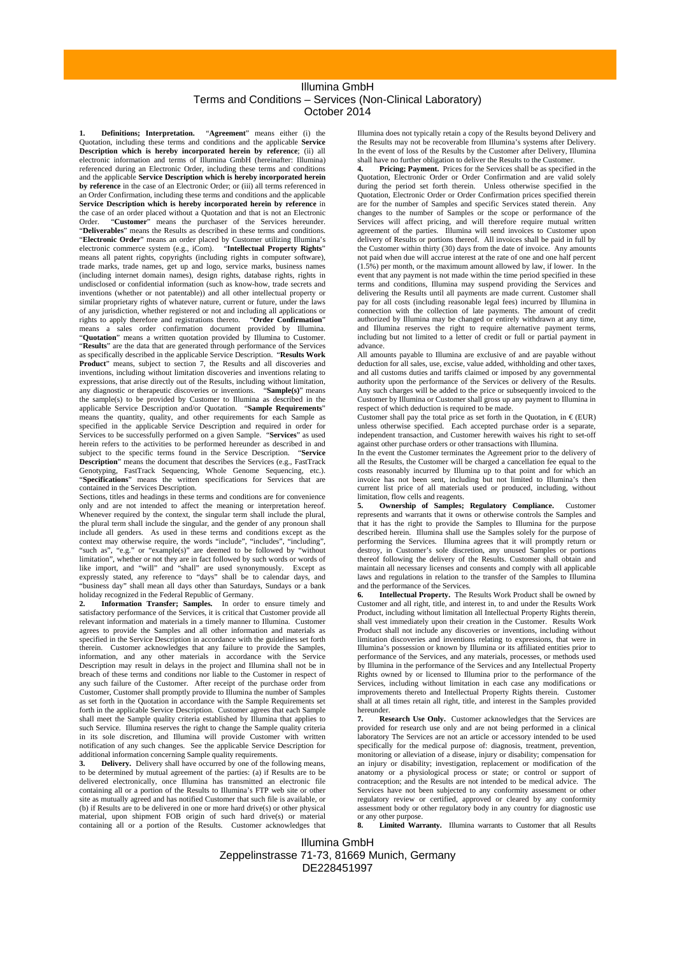## Illumina GmbH Terms and Conditions – Services (Non-Clinical Laboratory) October 2014

**1. Definitions; Interpretation.** "**Agreement**" means either (i) the Quotation, including these terms and conditions and the applicable **Service Description which is hereby incorporated herein by reference**; (ii) all electronic information and terms of Illumina GmbH (hereinafter: Illumina) referenced during an Electronic Order, including these terms and conditions and the applicable **Service Description which is hereby incorporated herein by reference** in the case of an Electronic Order; or (iii) all terms referenced in an Order Confirmation, including these terms and conditions and the applicable **Service Description which is hereby incorporated herein by reference** in the case of an order placed without a Quotation and that is not an Electronic Order. "**Customer**" means the purchaser of the Services hereunder. "**Deliverables**" means the Results as described in these terms and conditions. "**Electronic Order**" means an order placed by Customer utilizing Illumina's electronic commerce system (e.g., iCom). "**Intellectual Property Rights**" means all patent rights, copyrights (including rights in computer software), trade marks, trade names, get up and logo, service marks, business names (including internet domain names), design rights, database rights, rights in undisclosed or confidential information (such as know-how, trade secrets and inventions (whether or not patentable)) and all other intellectual property or similar proprietary rights of whatever nature, current or future, under the laws of any jurisdiction, whether registered or not and including all applications or rights to apply therefore and registrations thereto. "Order Confirmation" rights to apply therefore and registrations thereto. "**Order Confirmation**" means a sales order confirmation document provided by Illumina. Quotation" means a written quotation provided by Illumina to Customer. "**Results**" are the data that are generated through performance of the Services as specifically described in the applicable Service Description. "**Results Work Product**" means, subject to section 7, the Results and all discoveries and inventions, including without limitation discoveries and inventions relating to expressions, that arise directly out of the Results, including without limitation, any diagnostic or therapeutic discoveries or inventions. "Sample(s)" means any diagnostic or therapeutic discoveries or inventions. the sample(s) to be provided by Customer to Illumina as described in the applicable Service Description and/or Quotation. "**Sample Requirements**" means the quantity, quality, and other requirements for each Sample as specified in the applicable Service Description and required in order for Services to be successfully performed on a given Sample. "**Services**" as used herein refers to the activities to be performed hereunder as described in and subject to the specific terms found in the Service Description. "**Service Description**" means the document that describes the Services (e.g., FastTrack Genotyping, FastTrack Sequencing, Whole Genome Sequencing, etc.). "**Specifications**" means the written specifications for Services that are contained in the Services Description.

Sections, titles and headings in these terms and conditions are for convenience only and are not intended to affect the meaning or interpretation hereof. Whenever required by the context, the singular term shall include the plural, the plural term shall include the singular, and the gender of any pronoun shall include all genders. As used in these terms and conditions except as the context may otherwise require, the words "include", "includes", "including", "such as", "e.g." or "example(s)" are deemed to be followed by "without" limitation", whether or not they are in fact followed by such words or words of like import, and "will" and "shall" are used synonymously. Except as expressly stated, any reference to "days" shall be to calendar days, and "business day" shall mean all days other than Saturdays, Sundays or a bank

holiday recognized in the Federal Republic of Germany. **2. Information Transfer; Samples.** In order to ensure timely and satisfactory performance of the Services, it is critical that Customer provide all relevant information and materials in a timely manner to Illumina. Customer agrees to provide the Samples and all other information and materials as specified in the Service Description in accordance with the guidelines set forth therein. Customer acknowledges that any failure to provide the Samples, information, and any other materials in accordance with the Service Description may result in delays in the project and Illumina shall not be in breach of these terms and conditions nor liable to the Customer in respect of any such failure of the Customer. After receipt of the purchase order from Customer, Customer shall promptly provide to Illumina the number of Samples as set forth in the Quotation in accordance with the Sample Requirements set forth in the applicable Service Description. Customer agrees that each Sample shall meet the Sample quality criteria established by Illumina that applies to such Service. Illumina reserves the right to change the Sample quality criteria in its sole discretion, and Illumina will provide Customer with written notification of any such changes. See the applicable Service Description for additional information concerning Sample quality requirements.

**Delivery.** Delivery shall have occurred by one of the following means, to be determined by mutual agreement of the parties: (a) if Results are to be delivered electronically, once Illumina has transmitted an electronic file containing all or a portion of the Results to Illumina's FTP web site or other site as mutually agreed and has notified Customer that such file is available, or (b) if Results are to be delivered in one or more hard drive(s) or other physical material, upon shipment FOB origin of such hard drive(s) or material containing all or a portion of the Results. Customer acknowledges that

Illumina does not typically retain a copy of the Results beyond Delivery and the Results may not be recoverable from Illumina's systems after Delivery. In the event of loss of the Results by the Customer after Delivery, Illumina shall have no further obligation to deliver the Results to the Customer.

**Pricing: Payment.** Prices for the Services shall be as specified in the Quotation, Electronic Order or Order Confirmation and are valid solely during the period set forth therein. Unless otherwise specified in the Quotation, Electronic Order or Order Confirmation prices specified therein are for the number of Samples and specific Services stated therein. Any changes to the number of Samples or the scope or performance of the Services will affect pricing, and will therefore require mutual written agreement of the parties. Illumina will send invoices to Customer upon delivery of Results or portions thereof. All invoices shall be paid in full by the Customer within thirty (30) days from the date of invoice. Any amounts not paid when due will accrue interest at the rate of one and one half percent (1.5%) per month, or the maximum amount allowed by law, if lower. In the event that any payment is not made within the time period specified in these terms and conditions, Illumina may suspend providing the Services and delivering the Results until all payments are made current. Customer shall pay for all costs (including reasonable legal fees) incurred by Illumina in connection with the collection of late payments. The amount of credit authorized by Illumina may be changed or entirely withdrawn at any time, and Illumina reserves the right to require alternative payment terms, including but not limited to a letter of credit or full or partial payment in advance.

All amounts payable to Illumina are exclusive of and are payable without deduction for all sales, use, excise, value added, withholding and other taxes, and all customs duties and tariffs claimed or imposed by any governmental authority upon the performance of the Services or delivery of the Results. Any such charges will be added to the price or subsequently invoiced to the Customer by Illumina or Customer shall gross up any payment to Illumina in respect of which deduction is required to be made.

Customer shall pay the total price as set forth in the Quotation, in  $E(EUR)$ unless otherwise specified. Each accepted purchase order is a separate, independent transaction, and Customer herewith waives his right to set-off against other purchase orders or other transactions with Illumina.

In the event the Customer terminates the Agreement prior to the delivery of all the Results, the Customer will be charged a cancellation fee equal to the costs reasonably incurred by Illumina up to that point and for which an invoice has not been sent, including but not limited to Illumina's then current list price of all materials used or produced, including, without limitation, flow cells and reagents.

**Ownership of Samples; Regulatory Compliance.** represents and warrants that it owns or otherwise controls the Samples and that it has the right to provide the Samples to Illumina for the purpose described herein. Illumina shall use the Samples solely for the purpose of performing the Services. Illumina agrees that it will promptly return or destroy, in Customer's sole discretion, any unused Samples or portions thereof following the delivery of the Results. Customer shall obtain and maintain all necessary licenses and consents and comply with all applicable laws and regulations in relation to the transfer of the Samples to Illumina and the performance of the Services.

**6. Intellectual Property.** The Results Work Product shall be owned by Customer and all right, title, and interest in, to and under the Results Work Product, including without limitation all Intellectual Property Rights therein, shall vest immediately upon their creation in the Customer. Results Work Product shall not include any discoveries or inventions, including without limitation discoveries and inventions relating to expressions, that were in Illumina's possession or known by Illumina or its affiliated entities prior to performance of the Services, and any materials, processes, or methods used by Illumina in the performance of the Services and any Intellectual Property Rights owned by or licensed to Illumina prior to the performance of the Services, including without limitation in each case any modifications or improvements thereto and Intellectual Property Rights therein. Customer shall at all times retain all right, title, and interest in the Samples provided hereunder.

**7. Research Use Only.** Customer acknowledges that the Services are provided for research use only and are not being performed in a clinical laboratory The Services are not an article or accessory intended to be used specifically for the medical purpose of: diagnosis, treatment, prevention, monitoring or alleviation of a disease, injury or disability; compensation for an injury or disability; investigation, replacement or modification of the anatomy or a physiological process or state; or control or support of contraception; and the Results are not intended to be medical advice. The Services have not been subjected to any conformity assessment or other regulatory review or certified, approved or cleared by any conformity assessment body or other regulatory body in any country for diagnostic use or any other purpose.

**8. Limited Warranty.** Illumina warrants to Customer that all Results

## Illumina GmbH Zeppelinstrasse 71-73, 81669 Munich, Germany DE228451997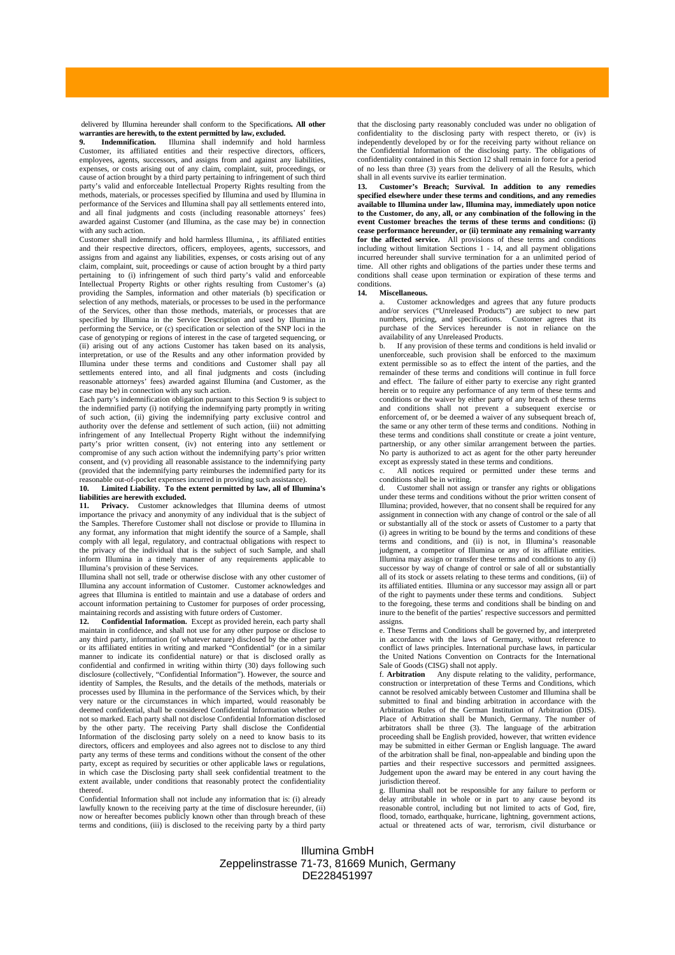delivered by Illumina hereunder shall conform to the Specifications**. All other warranties are herewith, to the extent permitted by law, excluded.** 

**9. Indemnification.** Illumina shall indemnify and hold harmless Customer, its affiliated entities and their respective directors, officers, employees, agents, successors, and assigns from and against any liabilities, expenses, or costs arising out of any claim, complaint, suit, proceedings, or cause of action brought by a third party pertaining to infringement of such third party's valid and enforceable Intellectual Property Rights resulting from the methods, materials, or processes specified by Illumina and used by Illumina in performance of the Services and Illumina shall pay all settlements entered into, and all final judgments and costs (including reasonable attorneys' fees) awarded against Customer (and Illumina, as the case may be) in connection with any such action.

Customer shall indemnify and hold harmless Illumina, , its affiliated entities and their respective directors, officers, employees, agents, successors, and assigns from and against any liabilities, expenses, or costs arising out of any claim, complaint, suit, proceedings or cause of action brought by a third party pertaining to (i) infringement of such third party's valid and enforceable Intellectual Property Rights or other rights resulting from Customer's (a) providing the Samples, information and other materials (b) specification or selection of any methods, materials, or processes to be used in the performance of the Services, other than those methods, materials, or processes that are specified by Illumina in the Service Description and used by Illumina in performing the Service, or (c) specification or selection of the SNP loci in the case of genotyping or regions of interest in the case of targeted sequencing, or (ii) arising out of any actions Customer has taken based on its analysis, interpretation, or use of the Results and any other information provided by Illumina under these terms and conditions and Customer shall pay all settlements entered into, and all final judgments and costs (including reasonable attorneys' fees) awarded against Illumina (and Customer, as the case may be) in connection with any such action.

Each party's indemnification obligation pursuant to this Section 9 is subject to the indemnified party (i) notifying the indemnifying party promptly in writing of such action, (ii) giving the indemnifying party exclusive control and authority over the defense and settlement of such action, (iii) not admitting infringement of any Intellectual Property Right without the indemnifying party's prior written consent, (iv) not entering into any settlement or compromise of any such action without the indemnifying party's prior written consent, and (v) providing all reasonable assistance to the indemnifying party (provided that the indemnifying party reimburses the indemnified party for its

## reasonable out-of-pocket expenses incurred in providing such assistance). **10. Limited Liability. To the extent permitted by law, all of Illumina's liabilities are herewith excluded.**

**11. Privacy.** Customer acknowledges that Illumina deems of utmost importance the privacy and anonymity of any individual that is the subject of the Samples. Therefore Customer shall not disclose or provide to Illumina in any format, any information that might identify the source of a Sample, shall comply with all legal, regulatory, and contractual obligations with respect to the privacy of the individual that is the subject of such Sample, and shall inform Illumina in a timely manner of any requirements applicable to Illumina's provision of these Services.

Illumina shall not sell, trade or otherwise disclose with any other customer of Illumina any account information of Customer. Customer acknowledges and agrees that Illumina is entitled to maintain and use a database of orders and account information pertaining to Customer for purposes of order processing, maintaining records and assisting with future orders of Customer.

**12. Confidential Information.** Except as provided herein, each party shall maintain in confidence, and shall not use for any other purpose or disclose to any third party, information (of whatever nature) disclosed by the other party or its affiliated entities in writing and marked "Confidential" (or in a similar manner to indicate its confidential nature) or that is disclosed orally as confidential and confirmed in writing within thirty (30) days following such disclosure (collectively, "Confidential Information"). However, the source and identity of Samples, the Results, and the details of the methods, materials or processes used by Illumina in the performance of the Services which, by their very nature or the circumstances in which imparted, would reasonably be deemed confidential, shall be considered Confidential Information whether or not so marked. Each party shall not disclose Confidential Information disclosed by the other party. The receiving Party shall disclose the Confidential Information of the disclosing party solely on a need to know basis to its directors, officers and employees and also agrees not to disclose to any third party any terms of these terms and conditions without the consent of the other party, except as required by securities or other applicable laws or regulations, in which case the Disclosing party shall seek confidential treatment to the extent available, under conditions that reasonably protect the confidentiality thereof.

Confidential Information shall not include any information that is: (i) already lawfully known to the receiving party at the time of disclosure hereunder, (ii) now or hereafter becomes publicly known other than through breach of these terms and conditions, (iii) is disclosed to the receiving party by a third party

that the disclosing party reasonably concluded was under no obligation of confidentiality to the disclosing party with respect thereto, or (iv) is independently developed by or for the receiving party without reliance on the Confidential Information of the disclosing party. The obligations of confidentiality contained in this Section 12 shall remain in force for a period of no less than three (3) years from the delivery of all the Results, which shall in all events survive its earlier termination.

**13. Customer's Breach; Survival. In addition to any remedies specified elsewhere under these terms and conditions, and any remedies available to Illumina under law, Illumina may, immediately upon notice to the Customer, do any, all, or any combination of the following in the event Customer breaches the terms of these terms and conditions: (i) cease performance hereunder, or (ii) terminate any remaining warranty for the affected service.** All provisions of these terms and conditions including without limitation Sections 1 - 14, and all payment obligations incurred hereunder shall survive termination for a an unlimited period of time. All other rights and obligations of the parties under these terms and conditions shall cease upon termination or expiration of these terms and

## conditions.<br>14. Mis **14. Miscellaneous.**

a. Customer acknowledges and agrees that any future products and/or services ("Unreleased Products") are subject to new part numbers, pricing, and specifications. Customer agrees that its purchase of the Services hereunder is not in reliance on the availability of any Unreleased Products.

If any provision of these terms and conditions is held invalid or unenforceable, such provision shall be enforced to the maximum extent permissible so as to effect the intent of the parties, and the remainder of these terms and conditions will continue in full force and effect. The failure of either party to exercise any right granted herein or to require any performance of any term of these terms and conditions or the waiver by either party of any breach of these terms and conditions shall not prevent a subsequent exercise or enforcement of, or be deemed a waiver of any subsequent breach of, the same or any other term of these terms and conditions. Nothing in these terms and conditions shall constitute or create a joint venture, partnership, or any other similar arrangement between the parties. No party is authorized to act as agent for the other party hereunder except as expressly stated in these terms and conditions.

All notices required or permitted under these terms and conditions shall be in writing.

d. Customer shall not assign or transfer any rights or obligations under these terms and conditions without the prior written consent of Illumina; provided, however, that no consent shall be required for any assignment in connection with any change of control or the sale of all or substantially all of the stock or assets of Customer to a party that (i) agrees in writing to be bound by the terms and conditions of these terms and conditions, and (ii) is not, in Illumina's reasonable judgment, a competitor of Illumina or any of its affiliate entities. Illumina may assign or transfer these terms and conditions to any (i) successor by way of change of control or sale of all or substantially all of its stock or assets relating to these terms and conditions, (ii) of its affiliated entities. Illumina or any successor may assign all or part of the right to payments under these terms and conditions. Subject to the foregoing, these terms and conditions shall be binding on and inure to the benefit of the parties' respective successors and permitted assigns.

e. These Terms and Conditions shall be governed by, and interpreted in accordance with the laws of Germany, without reference to conflict of laws principles. International purchase laws, in particular the United Nations Convention on Contracts for the International Sale of Goods (CISG) shall not apply.<br>f. **Arbitration** Any dispute relating

Any dispute relating to the validity, performance, construction or interpretation of these Terms and Conditions, which cannot be resolved amicably between Customer and Illumina shall be submitted to final and binding arbitration in accordance with the Arbitration Rules of the German Institution of Arbitration (DIS). Place of Arbitration shall be Munich, Germany. The number of arbitrators shall be three (3). The language of the arbitration proceeding shall be English provided, however, that written evidence may be submitted in either German or English language. The award of the arbitration shall be final, non-appealable and binding upon the parties and their respective successors and permitted assignees. Judgement upon the award may be entered in any court having the jurisdiction thereof.

g. Illumina shall not be responsible for any failure to perform or delay attributable in whole or in part to any cause beyond its reasonable control, including but not limited to acts of God, fire, flood, tornado, earthquake, hurricane, lightning, government actions, actual or threatened acts of war, terrorism, civil disturbance or

Illumina GmbH Zeppelinstrasse 71-73, 81669 Munich, Germany DE228451997